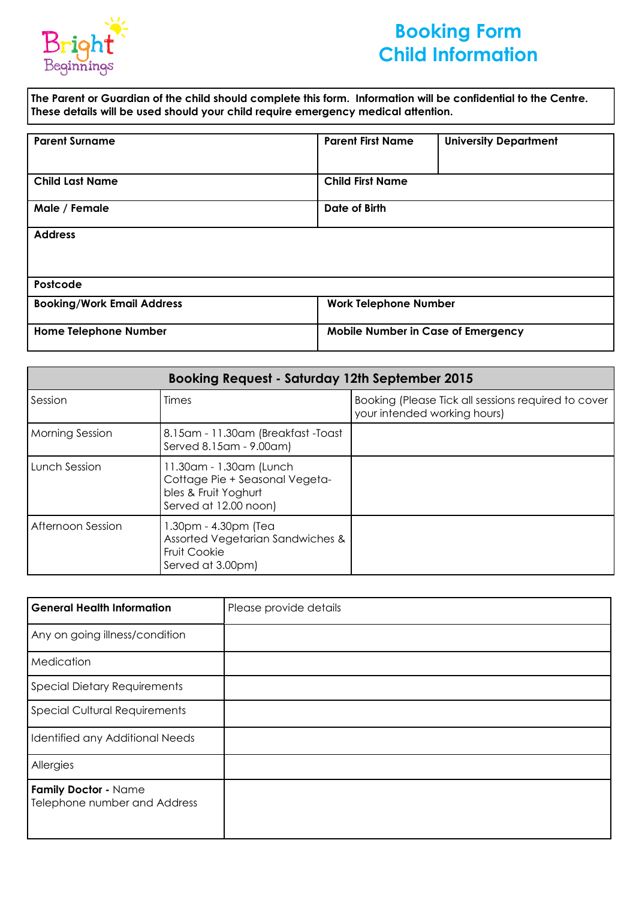

# **Booking Form Child Information**

**The Parent or Guardian of the child should complete this form. Information will be confidential to the Centre. These details will be used should your child require emergency medical attention.** 

| <b>Parent Surname</b>             | <b>Parent First Name</b>           | <b>University Department</b> |
|-----------------------------------|------------------------------------|------------------------------|
| <b>Child Last Name</b>            | <b>Child First Name</b>            |                              |
| Male / Female                     | Date of Birth                      |                              |
| <b>Address</b>                    |                                    |                              |
|                                   |                                    |                              |
| Postcode                          |                                    |                              |
| <b>Booking/Work Email Address</b> | <b>Work Telephone Number</b>       |                              |
| <b>Home Telephone Number</b>      | Mobile Number in Case of Emergency |                              |

| <b>Booking Request - Saturday 12th September 2015</b> |                                                                                                            |                                                                                     |  |
|-------------------------------------------------------|------------------------------------------------------------------------------------------------------------|-------------------------------------------------------------------------------------|--|
| Session                                               | Times                                                                                                      | Booking (Please Tick all sessions required to cover<br>your intended working hours) |  |
| <b>Morning Session</b>                                | 8.15am - 11.30am (Breakfast -Toast<br>Served 8.15am - 9.00am)                                              |                                                                                     |  |
| Lunch Session                                         | 11.30am - 1.30am (Lunch<br>Cottage Pie + Seasonal Vegeta-<br>bles & Fruit Yoghurt<br>Served at 12.00 noon) |                                                                                     |  |
| Afternoon Session                                     | 1.30pm - 4.30pm (Tea<br>Assorted Vegetarian Sandwiches &<br><b>Fruit Cookie</b><br>Served at 3.00pm)       |                                                                                     |  |

| <b>General Health Information</b>                    | Please provide details |
|------------------------------------------------------|------------------------|
| Any on going illness/condition                       |                        |
| Medication                                           |                        |
| <b>Special Dietary Requirements</b>                  |                        |
| <b>Special Cultural Requirements</b>                 |                        |
| Identified any Additional Needs                      |                        |
| Allergies                                            |                        |
| Family Doctor - Name<br>Telephone number and Address |                        |